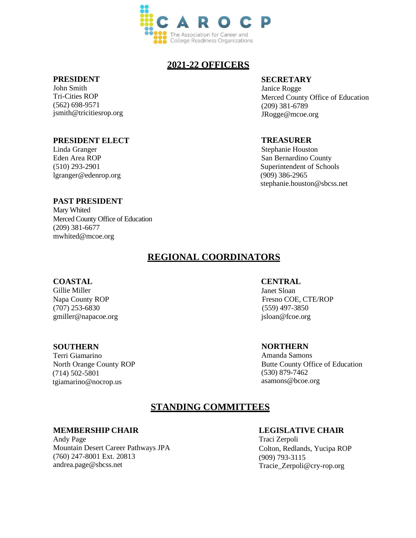

# **2021-22 OFFICERS**

#### **PRESIDENT**

John Smith Tri-Cities ROP (562) 698-9571 jsmith@tricitiesrop.org

### **PRESIDENT ELECT**

Linda Granger Eden Area ROP [\(510\) 293-2901](mailto:tzerpoli@tricitiesrop.org) lgranger@edenrop.org

### **SECRETARY**

Janice Rogge Merced County Office of Education (209) 381-6789 [JRogge@mcoe.org](mailto:JRogge@mcoe.org)

### **TREASURER**

Stephanie Houston San Bernardino County Superintendent of Schools (909) 386-2965 [stephanie.houston@sbcss.net](mailto:stephanie.houston@sbcss.net)

#### **PAST PRESIDENT**

Mary Whited Merced County Office of Education (209) 381-6677 mwhited@mcoe.org

# **REGIONAL COORDINATORS**

#### **COASTAL**

Gillie Miller Napa County ROP (707) 253-6830 gmiller@napacoe.org

#### **SOUTHERN**

Terri Giamarino North Orange County ROP (714) 502-5801 tgiamarino@nocrop.us

### **CENTRAL**

Janet Sloan Fresno COE, CTE/ROP (559) 497-3850 [jsloan@fcoe.org](mailto:jsloan@fcoe.org)

#### **NORTHERN**

Amanda Samons Butte County Office of Education (530) 879-7462 [asamons@bcoe.org](mailto:asamons@bcoe.org)

# **STANDING COMMITTEES**

#### **MEMBERSHIP CHAIR**

Andy Page Mountain Desert Career Pathways JPA (760) 247-8001 Ext. 20813 [andrea.page@sbcss.net](mailto:andrea.page@sbcss.net)

#### **LEGISLATIVE CHAIR**

Traci Zerpoli Colton, Redlands, Yucipa ROP (909) 793-3115 Tracie\_Zerpoli@cry-rop.org